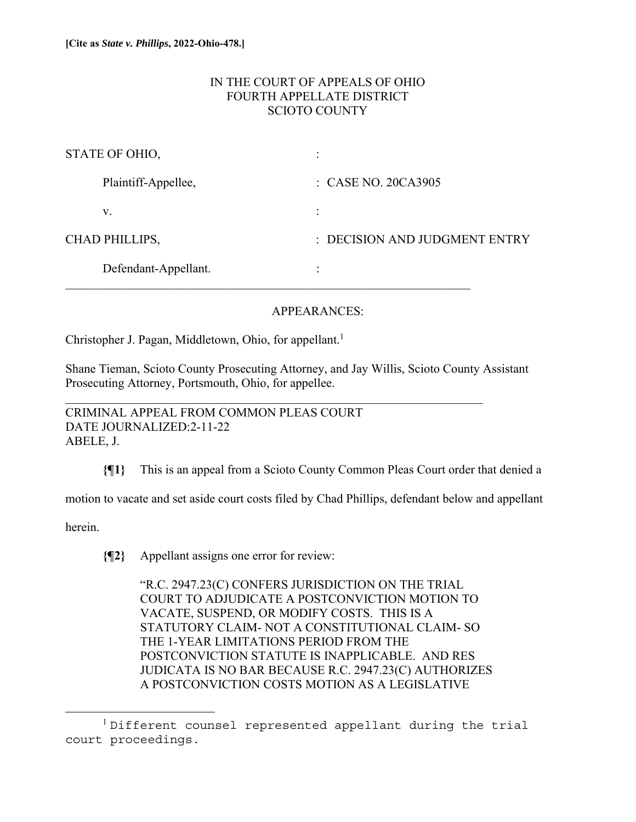# IN THE COURT OF APPEALS OF OHIO FOURTH APPELLATE DISTRICT SCIOTO COUNTY

| STATE OF OHIO,       | $\bullet$<br>$\ddot{\phantom{0}}$ |
|----------------------|-----------------------------------|
| Plaintiff-Appellee,  | $\therefore$ CASE NO. 20CA3905    |
| V.                   | $\ddot{\cdot}$                    |
| CHAD PHILLIPS,       | : DECISION AND JUDGMENT ENTRY     |
| Defendant-Appellant. | ٠                                 |

# APPEARANCES:

Christopher J. Pagan, Middletown, Ohio, for appellant.<sup>1</sup>

Shane Tieman, Scioto County Prosecuting Attorney, and Jay Willis, Scioto County Assistant Prosecuting Attorney, Portsmouth, Ohio, for appellee.

CRIMINAL APPEAL FROM COMMON PLEAS COURT DATE JOURNALIZED:2-11-22 ABELE, J.

**{¶1}** This is an appeal from a Scioto County Common Pleas Court order that denied a

motion to vacate and set aside court costs filed by Chad Phillips, defendant below and appellant

herein.

**{¶2}** Appellant assigns one error for review:

"R.C. 2947.23(C) CONFERS JURISDICTION ON THE TRIAL COURT TO ADJUDICATE A POSTCONVICTION MOTION TO VACATE, SUSPEND, OR MODIFY COSTS. THIS IS A STATUTORY CLAIM- NOT A CONSTITUTIONAL CLAIM- SO THE 1-YEAR LIMITATIONS PERIOD FROM THE POSTCONVICTION STATUTE IS INAPPLICABLE. AND RES JUDICATA IS NO BAR BECAUSE R.C. 2947.23(C) AUTHORIZES A POSTCONVICTION COSTS MOTION AS A LEGISLATIVE

<sup>&</sup>lt;sup>1</sup>Different counsel represented appellant during the trial court proceedings.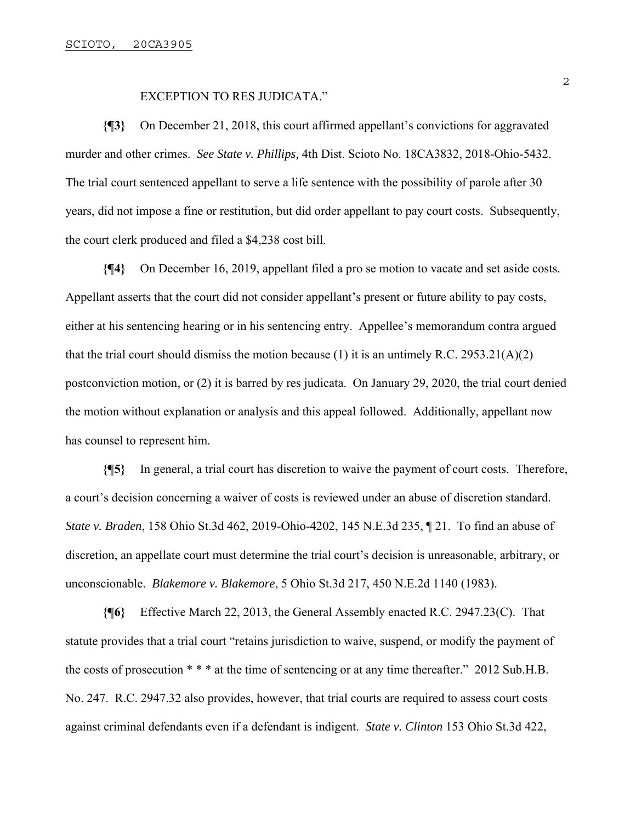#### EXCEPTION TO RES JUDICATA."

**{¶3}** On December 21, 2018, this court affirmed appellant's convictions for aggravated murder and other crimes. *See State v. Phillips,* 4th Dist. Scioto No. 18CA3832, 2018-Ohio-5432. The trial court sentenced appellant to serve a life sentence with the possibility of parole after 30 years, did not impose a fine or restitution, but did order appellant to pay court costs. Subsequently, the court clerk produced and filed a \$4,238 cost bill.

**{¶4}** On December 16, 2019, appellant filed a pro se motion to vacate and set aside costs. Appellant asserts that the court did not consider appellant's present or future ability to pay costs, either at his sentencing hearing or in his sentencing entry. Appellee's memorandum contra argued that the trial court should dismiss the motion because (1) it is an untimely R.C. 2953.21(A)(2) postconviction motion, or (2) it is barred by res judicata. On January 29, 2020, the trial court denied the motion without explanation or analysis and this appeal followed. Additionally, appellant now has counsel to represent him.

**{¶5}** In general, a trial court has discretion to waive the payment of court costs. Therefore, a court's decision concerning a waiver of costs is reviewed under an abuse of discretion standard. *State v. Braden*, 158 Ohio St.3d 462, 2019-Ohio-4202, 145 N.E.3d 235, ¶ 21. To find an abuse of discretion, an appellate court must determine the trial court's decision is unreasonable, arbitrary, or unconscionable. *Blakemore v. Blakemore*, 5 Ohio St.3d 217, 450 N.E.2d 1140 (1983).

**{¶6}** Effective March 22, 2013, the General Assembly enacted R.C. 2947.23(C). That statute provides that a trial court "retains jurisdiction to waive, suspend, or modify the payment of the costs of prosecution \* \* \* at the time of sentencing or at any time thereafter." 2012 Sub.H.B. No. 247. R.C. 2947.32 also provides, however, that trial courts are required to assess court costs against criminal defendants even if a defendant is indigent. *State v. Clinton* 153 Ohio St.3d 422,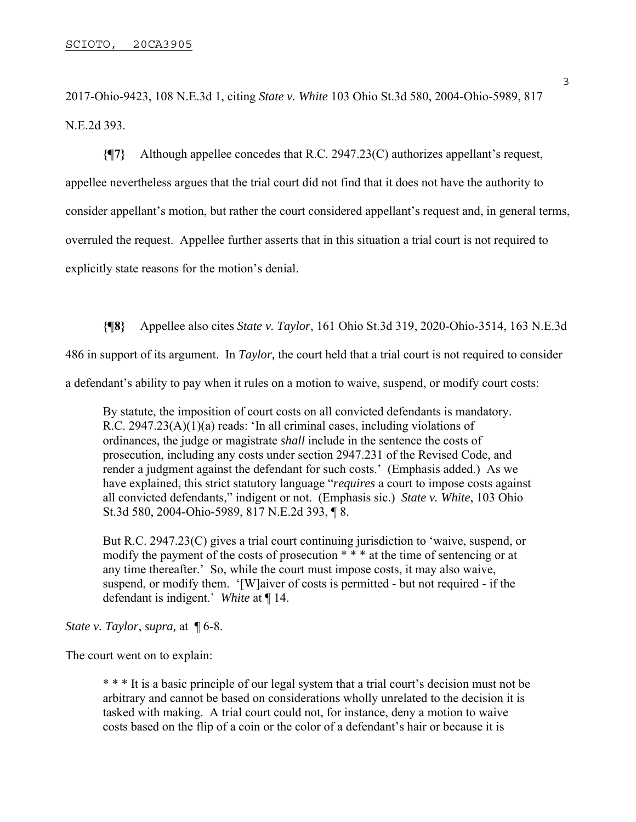2017-Ohio-9423, 108 N.E.3d 1, citing *State v. White* 103 Ohio St.3d 580, 2004-Ohio-5989, 817 N.E.2d 393.

**{¶7}** Although appellee concedes that R.C. 2947.23(C) authorizes appellant's request, appellee nevertheless argues that the trial court did not find that it does not have the authority to consider appellant's motion, but rather the court considered appellant's request and, in general terms, overruled the request. Appellee further asserts that in this situation a trial court is not required to explicitly state reasons for the motion's denial.

**{¶8}** Appellee also cites *State v. Taylor*, 161 Ohio St.3d 319, 2020-Ohio-3514, 163 N.E.3d 486 in support of its argument. In *Taylor,* the court held that a trial court is not required to consider a defendant's ability to pay when it rules on a motion to waive, suspend, or modify court costs:

By statute, the imposition of court costs on all convicted defendants is mandatory. R.C. 2947.23(A)(1)(a) reads: 'In all criminal cases, including violations of ordinances, the judge or magistrate *shall* include in the sentence the costs of prosecution, including any costs under section 2947.231 of the Revised Code, and render a judgment against the defendant for such costs.' (Emphasis added.) As we have explained, this strict statutory language "*requires* a court to impose costs against all convicted defendants," indigent or not. (Emphasis sic.) *State v. White*, 103 Ohio St.3d 580, 2004-Ohio-5989, 817 N.E.2d 393, ¶ 8.

But R.C. 2947.23(C) gives a trial court continuing jurisdiction to 'waive, suspend, or modify the payment of the costs of prosecution \* \* \* at the time of sentencing or at any time thereafter.' So, while the court must impose costs, it may also waive, suspend, or modify them. '[W]aiver of costs is permitted - but not required - if the defendant is indigent.' *White* at ¶ 14.

*State v. Taylor*, *supra,* at ¶ 6-8.

The court went on to explain:

\* \* \* It is a basic principle of our legal system that a trial court's decision must not be arbitrary and cannot be based on considerations wholly unrelated to the decision it is tasked with making. A trial court could not, for instance, deny a motion to waive costs based on the flip of a coin or the color of a defendant's hair or because it is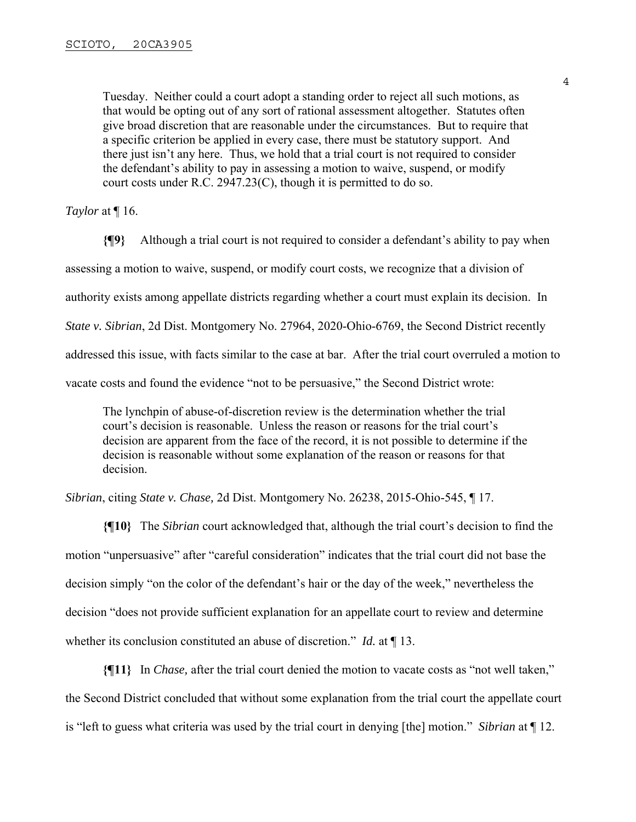Tuesday. Neither could a court adopt a standing order to reject all such motions, as that would be opting out of any sort of rational assessment altogether. Statutes often give broad discretion that are reasonable under the circumstances. But to require that a specific criterion be applied in every case, there must be statutory support. And there just isn't any here. Thus, we hold that a trial court is not required to consider the defendant's ability to pay in assessing a motion to waive, suspend, or modify court costs under R.C. 2947.23(C), though it is permitted to do so.

#### *Taylor* at ¶ 16.

**{¶9}** Although a trial court is not required to consider a defendant's ability to pay when assessing a motion to waive, suspend, or modify court costs, we recognize that a division of authority exists among appellate districts regarding whether a court must explain its decision. In *State v. Sibrian*, 2d Dist. Montgomery No. 27964, 2020-Ohio-6769, the Second District recently addressed this issue, with facts similar to the case at bar. After the trial court overruled a motion to vacate costs and found the evidence "not to be persuasive," the Second District wrote:

The lynchpin of abuse-of-discretion review is the determination whether the trial court's decision is reasonable. Unless the reason or reasons for the trial court's decision are apparent from the face of the record, it is not possible to determine if the decision is reasonable without some explanation of the reason or reasons for that decision.

*Sibrian*, citing *State v. Chase,* 2d Dist. Montgomery No. 26238, 2015-Ohio-545, ¶ 17.

**{¶10}** The *Sibrian* court acknowledged that, although the trial court's decision to find the motion "unpersuasive" after "careful consideration" indicates that the trial court did not base the decision simply "on the color of the defendant's hair or the day of the week," nevertheless the decision "does not provide sufficient explanation for an appellate court to review and determine whether its conclusion constituted an abuse of discretion." *Id.* at ¶ 13.

**{¶11}** In *Chase,* after the trial court denied the motion to vacate costs as "not well taken," the Second District concluded that without some explanation from the trial court the appellate court is "left to guess what criteria was used by the trial court in denying [the] motion." *Sibrian* at ¶ 12.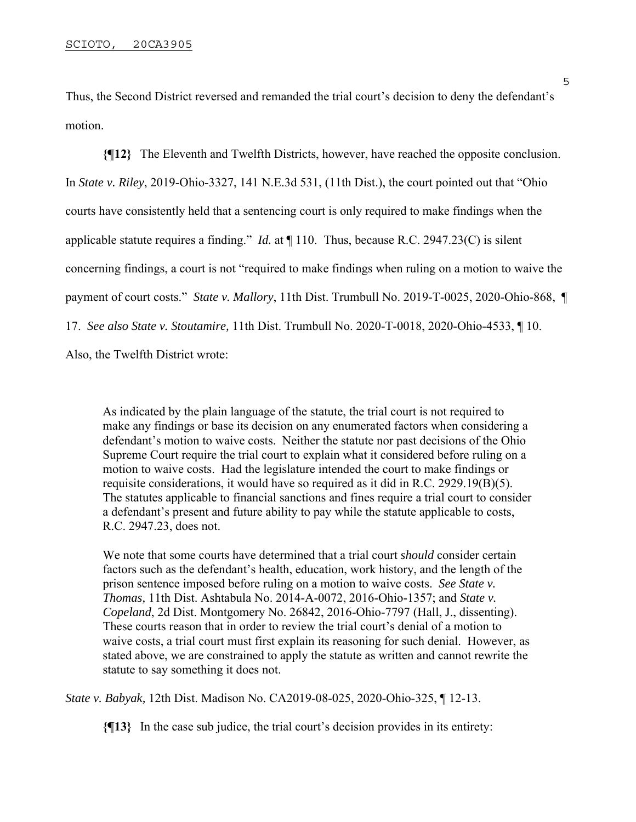Thus, the Second District reversed and remanded the trial court's decision to deny the defendant's motion.

**{¶12}** The Eleventh and Twelfth Districts, however, have reached the opposite conclusion. In *State v. Riley*, 2019-Ohio-3327, 141 N.E.3d 531, (11th Dist.), the court pointed out that "Ohio courts have consistently held that a sentencing court is only required to make findings when the applicable statute requires a finding." *Id.* at ¶ 110. Thus, because R.C. 2947.23(C) is silent concerning findings, a court is not "required to make findings when ruling on a motion to waive the payment of court costs." *State v. Mallory*, 11th Dist. Trumbull No. 2019-T-0025, 2020-Ohio-868, ¶ 17. *See also State v. Stoutamire,* 11th Dist. Trumbull No. 2020-T-0018, 2020-Ohio-4533, ¶ 10. Also, the Twelfth District wrote:

As indicated by the plain language of the statute, the trial court is not required to make any findings or base its decision on any enumerated factors when considering a defendant's motion to waive costs. Neither the statute nor past decisions of the Ohio Supreme Court require the trial court to explain what it considered before ruling on a motion to waive costs. Had the legislature intended the court to make findings or requisite considerations, it would have so required as it did in R.C. 2929.19(B)(5). The statutes applicable to financial sanctions and fines require a trial court to consider a defendant's present and future ability to pay while the statute applicable to costs, R.C. 2947.23, does not.

We note that some courts have determined that a trial court *should* consider certain factors such as the defendant's health, education, work history, and the length of the prison sentence imposed before ruling on a motion to waive costs. *See State v. Thomas,* 11th Dist. Ashtabula No. 2014-A-0072, 2016-Ohio-1357; and *State v. Copeland*, 2d Dist. Montgomery No. 26842, 2016-Ohio-7797 (Hall, J., dissenting). These courts reason that in order to review the trial court's denial of a motion to waive costs, a trial court must first explain its reasoning for such denial. However, as stated above, we are constrained to apply the statute as written and cannot rewrite the statute to say something it does not.

*State v. Babyak,* 12th Dist. Madison No. CA2019-08-025, 2020-Ohio-325, ¶ 12-13.

**{¶13}** In the case sub judice, the trial court's decision provides in its entirety: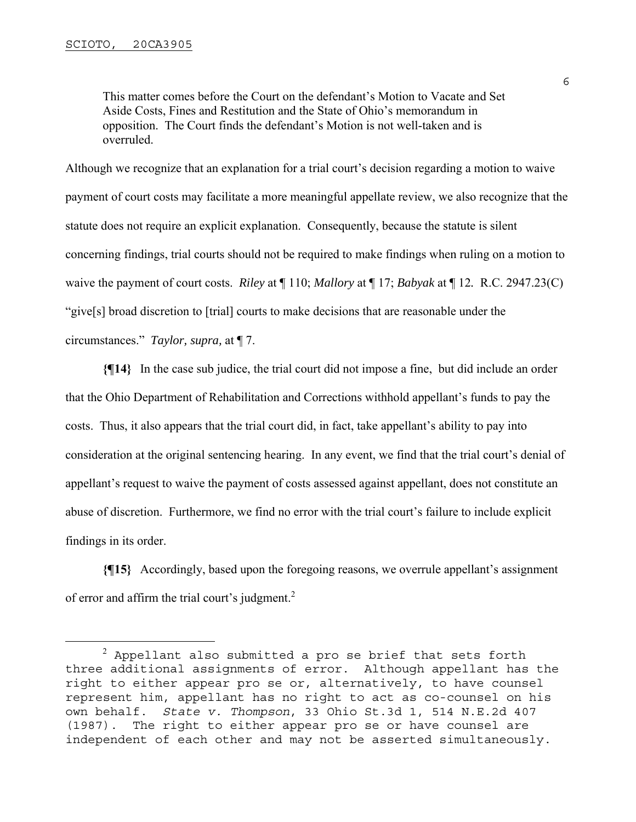This matter comes before the Court on the defendant's Motion to Vacate and Set Aside Costs, Fines and Restitution and the State of Ohio's memorandum in opposition. The Court finds the defendant's Motion is not well-taken and is overruled.

Although we recognize that an explanation for a trial court's decision regarding a motion to waive payment of court costs may facilitate a more meaningful appellate review, we also recognize that the statute does not require an explicit explanation. Consequently, because the statute is silent concerning findings, trial courts should not be required to make findings when ruling on a motion to waive the payment of court costs. *Riley* at ¶ 110; *Mallory* at ¶ 17; *Babyak* at ¶ 12*.* R.C. 2947.23(C) "give[s] broad discretion to [trial] courts to make decisions that are reasonable under the circumstances." *Taylor, supra,* at ¶ 7.

**{¶14}** In the case sub judice, the trial court did not impose a fine, but did include an order that the Ohio Department of Rehabilitation and Corrections withhold appellant's funds to pay the costs. Thus, it also appears that the trial court did, in fact, take appellant's ability to pay into consideration at the original sentencing hearing. In any event, we find that the trial court's denial of appellant's request to waive the payment of costs assessed against appellant, does not constitute an abuse of discretion. Furthermore, we find no error with the trial court's failure to include explicit findings in its order.

**{¶15}** Accordingly, based upon the foregoing reasons, we overrule appellant's assignment of error and affirm the trial court's judgment.<sup>2</sup>

 $^2$  Appellant also submitted a pro se brief that sets forth three additional assignments of error. Although appellant has the right to either appear pro se or, alternatively, to have counsel represent him, appellant has no right to act as co-counsel on his own behalf. *State v. Thompson*, 33 Ohio St.3d 1, 514 N.E.2d 407 (1987). The right to either appear pro se or have counsel are independent of each other and may not be asserted simultaneously.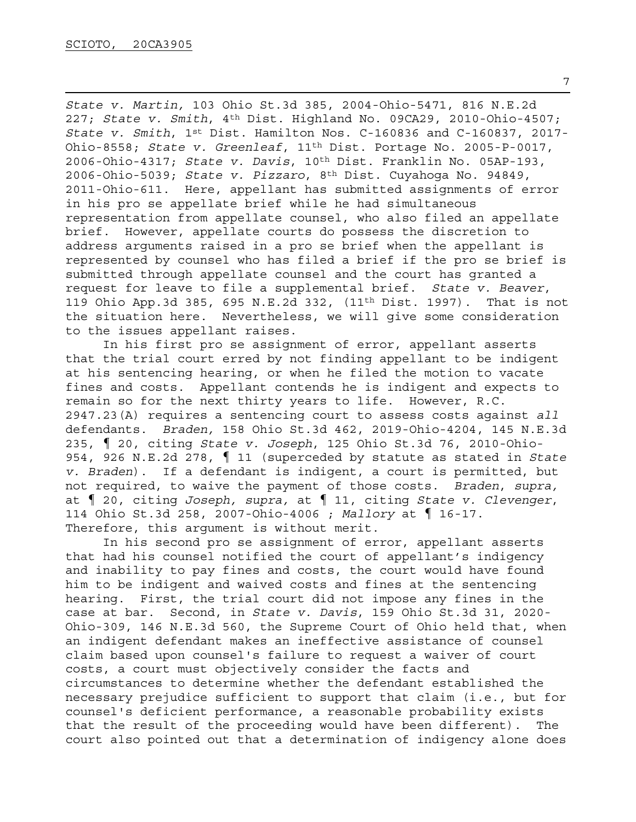*State v. Martin,* 103 Ohio St.3d 385, 2004-Ohio-5471, 816 N.E.2d 227; *State v. Smith*, 4th Dist. Highland No. 09CA29, 2010-Ohio-4507; *State v. Smith*, 1st Dist. Hamilton Nos. C-160836 and C-160837, 2017- Ohio-8558; *State v. Greenleaf*, 11th Dist. Portage No. 2005-P-0017, 2006-Ohio-4317; *State v. Davis*, 10th Dist. Franklin No. 05AP-193, 2006-Ohio-5039; *State v. Pizzaro*, 8th Dist. Cuyahoga No. 94849, 2011-Ohio-611. Here, appellant has submitted assignments of error in his pro se appellate brief while he had simultaneous representation from appellate counsel, who also filed an appellate brief. However, appellate courts do possess the discretion to address arguments raised in a pro se brief when the appellant is represented by counsel who has filed a brief if the pro se brief is submitted through appellate counsel and the court has granted a request for leave to file a supplemental brief. *State v. Beaver*, 119 Ohio App.3d 385, 695 N.E.2d 332, (11th Dist. 1997). That is not the situation here. Nevertheless, we will give some consideration to the issues appellant raises.

 In his first pro se assignment of error, appellant asserts that the trial court erred by not finding appellant to be indigent at his sentencing hearing, or when he filed the motion to vacate fines and costs. Appellant contends he is indigent and expects to remain so for the next thirty years to life. However, R.C. 2947.23(A) requires a sentencing court to assess costs against *all* defendants. *Braden,* 158 Ohio St.3d 462, 2019-Ohio-4204, 145 N.E.3d 235, ¶ 20, citing *State v. Joseph*, 125 Ohio St.3d 76, 2010-Ohio-954, 926 N.E.2d 278, ¶ 11 (superceded by statute as stated in *State v. Braden*). If a defendant is indigent, a court is permitted, but not required, to waive the payment of those costs. *Braden*, *supra,*  at ¶ 20, citing *Joseph, supra,* at ¶ 11, citing *State v. Clevenger*, 114 Ohio St.3d 258, 2007-Ohio-4006 ; *Mallory* at ¶ 16-17. Therefore, this argument is without merit.

 In his second pro se assignment of error, appellant asserts that had his counsel notified the court of appellant's indigency and inability to pay fines and costs, the court would have found him to be indigent and waived costs and fines at the sentencing hearing. First, the trial court did not impose any fines in the case at bar. Second, in *State v. Davis*, 159 Ohio St.3d 31, 2020- Ohio-309, 146 N.E.3d 560, the Supreme Court of Ohio held that, when an indigent defendant makes an ineffective assistance of counsel claim based upon counsel's failure to request a waiver of court costs, a court must objectively consider the facts and circumstances to determine whether the defendant established the necessary prejudice sufficient to support that claim (i.e., but for counsel's deficient performance, a reasonable probability exists that the result of the proceeding would have been different). The court also pointed out that a determination of indigency alone does

7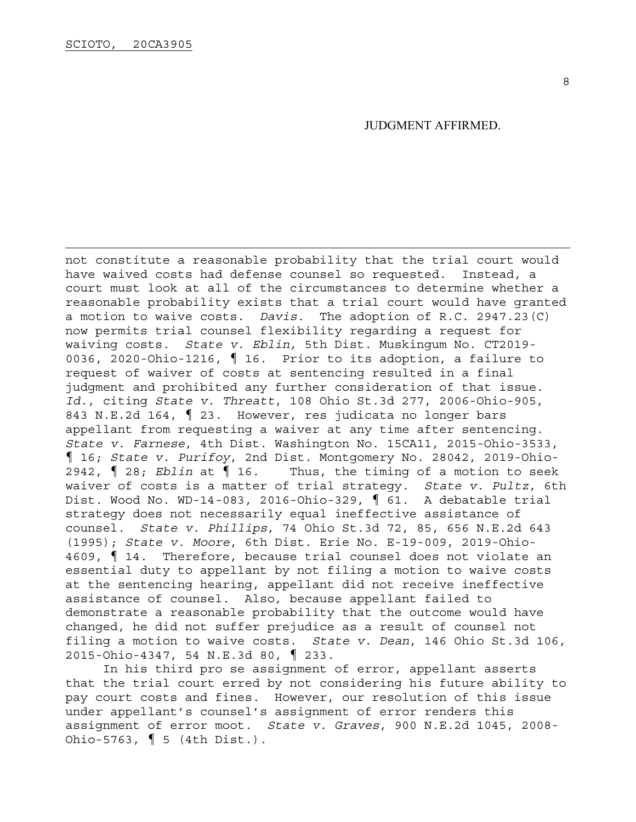JUDGMENT AFFIRMED.

not constitute a reasonable probability that the trial court would have waived costs had defense counsel so requested. Instead, a court must look at all of the circumstances to determine whether a reasonable probability exists that a trial court would have granted a motion to waive costs. *Davis*. The adoption of R.C. 2947.23(C) now permits trial counsel flexibility regarding a request for waiving costs. *State v. Eblin,* 5th Dist. Muskingum No. CT2019- 0036, 2020-Ohio-1216, ¶ 16. Prior to its adoption, a failure to request of waiver of costs at sentencing resulted in a final judgment and prohibited any further consideration of that issue. *Id.*, citing *State v. Threatt*, 108 Ohio St.3d 277, 2006-Ohio-905, 843 N.E.2d 164, ¶ 23. However, res judicata no longer bars appellant from requesting a waiver at any time after sentencing. *State v. Farnese*, 4th Dist. Washington No. 15CA11, 2015-Ohio-3533, ¶ 16; *State v. Purifoy*, 2nd Dist. Montgomery No. 28042, 2019-Ohio-2942, ¶ 28; *Eblin* at ¶ 16. Thus, the timing of a motion to seek waiver of costs is a matter of trial strategy. *State v. Pultz*, 6th Dist. Wood No. WD-14-083, 2016-Ohio-329, ¶ 61. A debatable trial strategy does not necessarily equal ineffective assistance of counsel. *State v. Phillips*, 74 Ohio St.3d 72, 85, 656 N.E.2d 643 (1995); *State v. Moore*, 6th Dist. Erie No. E-19-009, 2019-Ohio-4609, ¶ 14. Therefore, because trial counsel does not violate an essential duty to appellant by not filing a motion to waive costs at the sentencing hearing, appellant did not receive ineffective assistance of counsel. Also, because appellant failed to demonstrate a reasonable probability that the outcome would have changed, he did not suffer prejudice as a result of counsel not filing a motion to waive costs. *State v. Dean*, 146 Ohio St.3d 106, 2015-Ohio-4347, 54 N.E.3d 80, ¶ 233.

 In his third pro se assignment of error, appellant asserts that the trial court erred by not considering his future ability to pay court costs and fines. However, our resolution of this issue under appellant's counsel's assignment of error renders this assignment of error moot. *State v. Graves,* 900 N.E.2d 1045, 2008- Ohio-5763, ¶ 5 (4th Dist.).